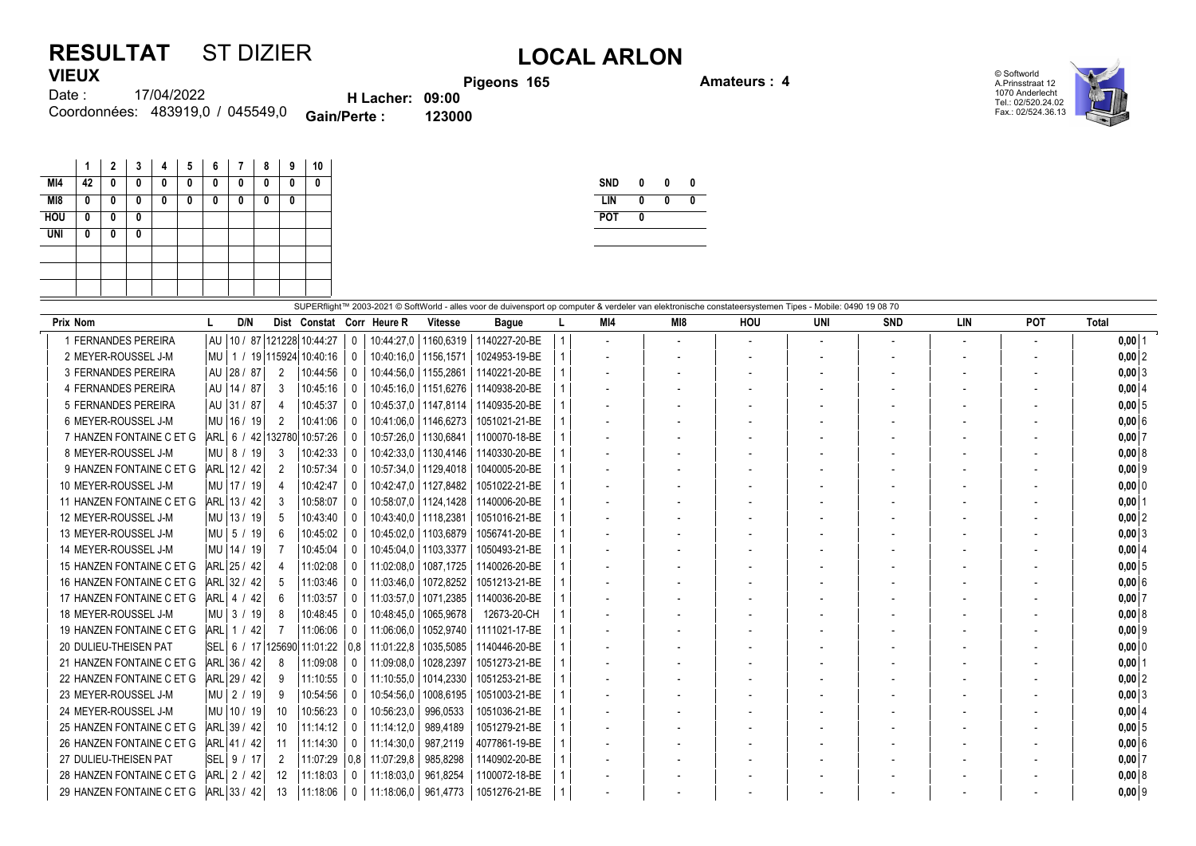## **RESULTAT** ST DIZIER **LOCAL ARLON VIEUX**

**Pigeons 165 Amateurs : 4**

© Softworld A.Prinsstraat 12 1070 Anderlecht Tel.: 02/520.24.02 Fax.: 02/524.36.13

| Date : | 17/04/2022                       | <b>H</b> Lacher: 09:00 |        |
|--------|----------------------------------|------------------------|--------|
|        | Coordonnées: 483919,0 / 045549,0 | <b>Gain/Perte:</b>     | 123000 |

|            | 1  | $\mathbf{2}$ | 3 | 4 | 5 | 6 | $\overline{7}$ | 8 | 9 | 10 |
|------------|----|--------------|---|---|---|---|----------------|---|---|----|
| MI4        | 42 | 0            | 0 | 0 | 0 | 0 | 0              | 0 | 0 | 0  |
| M18        | 0  | 0            | 0 | 0 | 0 | 0 | 0              | 0 | 0 |    |
| <b>HOU</b> | 0  | 0            | 0 |   |   |   |                |   |   |    |
| <b>UNI</b> | 0  | 0            | 0 |   |   |   |                |   |   |    |
|            |    |              |   |   |   |   |                |   |   |    |
|            |    |              |   |   |   |   |                |   |   |    |
|            |    |              |   |   |   |   |                |   |   |    |

| <b>SND</b> | 0 | 0 | 0 |
|------------|---|---|---|
| LIN        | Λ | N | 0 |
| <b>POT</b> | Λ |   |   |
|            |   |   |   |

|                           |             |              |          |                            |     |                           |                | SUPERflight™ 2003-2021 © SoftWorld - alles voor de duivensport op computer & verdeler van elektronische constateersystemen Tipes - Mobile: 0490 19 08 70 |     |     |                          |     |                          |                          |                          |              |
|---------------------------|-------------|--------------|----------|----------------------------|-----|---------------------------|----------------|----------------------------------------------------------------------------------------------------------------------------------------------------------|-----|-----|--------------------------|-----|--------------------------|--------------------------|--------------------------|--------------|
| <b>Prix Nom</b>           |             | D/N          |          |                            |     | Dist Constat Corr Heure R | <b>Vitesse</b> | <b>Bague</b>                                                                                                                                             | MI4 | MI8 | HOU                      | UNI | <b>SND</b>               | LIN                      | <b>POT</b>               | <b>Total</b> |
| 1 FERNANDES PEREIRA       | l AU        |              |          | 10 / 87 121228 10:44:27    |     | 10:44:27.0                | 1160,6319      | 1140227-20-BE                                                                                                                                            |     |     | $\overline{\phantom{a}}$ |     | $\overline{\phantom{0}}$ |                          | $\overline{\phantom{a}}$ | $0,00$ 1     |
| 2 MEYER-ROUSSEL J-M       | l Mu        |              |          | 1 / 19 115924 10:40:16     |     | 10:40:16.0                | 1156.1571      | 1024953-19-BE                                                                                                                                            |     |     |                          |     |                          |                          |                          | $0,00$ 2     |
| 3 FERNANDES PEREIRA       | l AU        | 28/87        | 2        | 10:44:56                   |     | 10:44:56.0                | 1155.2861      | 1140221-20-BE                                                                                                                                            |     |     |                          |     |                          |                          |                          | $0,00$ 3     |
| 4 FERNANDES PEREIRA       |             | AU   14 / 87 | 3        | 10:45:16                   |     | 10:45:16,0                | 1151.6276      | 1140938-20-BE                                                                                                                                            |     |     |                          |     |                          |                          | $\overline{\phantom{a}}$ | $0,00$ 4     |
| 5 FERNANDES PEREIRA       | l AU        | 31/87        | $\Delta$ | 10:45:37                   |     | 10:45:37.0                | 1147.8114      | 1140935-20-BE                                                                                                                                            |     |     |                          |     |                          |                          |                          | 0,005        |
| 6 MEYER-ROUSSEL J-M       | MU   16 /   | 19           | 2        | 10:41:06                   |     | 10:41:06.0                | 1146.6273      | 1051021-21-BE                                                                                                                                            |     |     |                          |     |                          |                          |                          | 0,006        |
| 7 HANZEN FONTAINE C ET G  |             |              |          | ARL 6 / 42 132780 10:57:26 |     | 10:57:26,0                | 1130.6841      | 1100070-18-BE                                                                                                                                            |     |     |                          |     |                          |                          | $\overline{\phantom{a}}$ | 0,007        |
| 8 MEYER-ROUSSEL J-M       |             | MU   8 / 19  | 3        | 10:42:33                   |     | 10:42:33,0                | 1130,4146      | 1140330-20-BE                                                                                                                                            |     |     |                          |     |                          |                          |                          | 0,008        |
| 9 HANZEN FONTAINE C ET G  |             | ARL 12 / 42  | 2        | 10:57:34                   |     | 10:57:34,0                | 1129,4018      | 1040005-20-BE                                                                                                                                            |     |     |                          |     |                          | $\overline{\phantom{a}}$ |                          | $0,00$ 9     |
| 10 MEYER-ROUSSEL J-M      | MU 17/      | -19          |          | 10:42:47                   |     | 10:42:47,0                | 1127,8482      | 1051022-21-BE                                                                                                                                            |     |     |                          |     |                          |                          |                          | $0,00$ 0     |
| 11 HANZEN FONTAINE C ET G |             | ARL 13 / 42  |          | 10:58:07                   |     | 10:58:07,0                | 1124,1428      | 1140006-20-BE                                                                                                                                            |     |     |                          |     |                          |                          |                          | $0,00$  1    |
| 12 MEYER-ROUSSEL J-M      | MU 13/      | 19           | 5        | 10:43:40                   |     | 10:43:40,0                | 1118,2381      | 1051016-21-BE                                                                                                                                            |     |     |                          |     |                          |                          |                          | $0,00$  2    |
| 13 MEYER-ROUSSEL J-M      |             | MU 5 / 19    | 6        | 10:45:02                   |     | 10:45:02,0                | 1103,6879      | 1056741-20-BE                                                                                                                                            |     |     |                          |     |                          |                          | $\overline{\phantom{a}}$ | $0,00$ 3     |
| 14 MEYER-ROUSSEL J-M      |             | MU   14 / 19 |          | 10:45:04                   |     | 10:45:04.0                | 1103,3377      | 1050493-21-BE                                                                                                                                            |     |     |                          |     |                          |                          |                          | $0,00$ 4     |
| 15 HANZEN FONTAINE C ET G |             | ARL 25 / 42  |          | 11:02:08                   |     | 11:02:08.0                | 1087.1725      | 1140026-20-BE                                                                                                                                            |     |     |                          |     |                          |                          |                          | 0,005        |
| 16 HANZEN FONTAINE C ET G |             | ARL 32 / 42  | 5        | 11:03:46                   |     | 11:03:46.0                | 1072,8252      | 1051213-21-BE                                                                                                                                            |     |     |                          |     |                          |                          |                          | 0,006        |
| 17 HANZEN FONTAINE C ET G |             | ARL 4 / 42   |          | 11:03:57                   |     | 11:03:57.0                | 1071.2385      | 1140036-20-BE                                                                                                                                            |     |     |                          |     |                          |                          |                          | 0,007        |
| 18 MEYER-ROUSSEL J-M      | $MU$ 3 /    | -19          |          | 10:48:45                   |     | 10:48:45,0                | 1065,9678      | 12673-20-CH                                                                                                                                              |     |     |                          |     |                          |                          |                          | 0,008        |
| 19 HANZEN FONTAINE C ET G | <b>ARL</b>  | 1/42         |          | 11:06:06                   |     | 11:06:06.0                | 1052,9740      | 1111021-17-BE                                                                                                                                            |     |     |                          |     |                          |                          |                          | $0,00$ 9     |
| 20 DULIEU-THEISEN PAT     |             | SEL 6 / 17   |          | 125690 11:01:22            | 0,8 | 11:01:22,8                | 1035,5085      | 1140446-20-BE                                                                                                                                            |     |     |                          |     |                          |                          |                          | $0,00$ 0     |
| 21 HANZEN FONTAINE C ET G |             | ARL 36 / 42  | 8        | 11:09:08                   |     | 11:09:08.0                | 1028,2397      | 1051273-21-BE                                                                                                                                            |     |     |                          |     |                          |                          |                          | $0,00$  1    |
| 22 HANZEN FONTAINE C ET G |             | ARL 29 / 42  | 9        | 11:10:55                   | 0   | 11:10:55,0                | 1014,2330      | 1051253-21-BE                                                                                                                                            |     |     |                          |     |                          |                          |                          | $0,00$ 2     |
| 23 MEYER-ROUSSEL J-M      |             |              | 9        | 10:54:56                   |     | 10:54:56.0                | 1008.6195      | 1051003-21-BE                                                                                                                                            |     |     |                          |     |                          |                          |                          | $0,00$ 3     |
| 24 MEYER-ROUSSEL J-M      | MU   10 /   | 19           | 10       | 10:56:23                   |     | 10:56:23.0                | 996.0533       | 1051036-21-BE                                                                                                                                            |     |     |                          |     |                          |                          |                          | $0,00$ 4     |
| 25 HANZEN FONTAINE C ET G |             | ARL 39 / 42  | 10       | 11:14:12                   |     | 11:14:12.0                | 989,4189       | 1051279-21-BE                                                                                                                                            |     |     |                          |     |                          |                          |                          | 0,005        |
| 26 HANZEN FONTAINE C ET G |             | ARL 41 / 42  | 11       | 11:14:30                   |     | 11:14:30,0                | 987.2119       | 4077861-19-BE                                                                                                                                            |     |     |                          |     |                          |                          |                          | 0,006        |
| 27 DULIEU-THEISEN PAT     | $ SEL $ 9 / |              | 2        | 11:07:29                   | 0,8 | 11:07:29.8                | 985,8298       | 1140902-20-BE                                                                                                                                            |     |     |                          |     |                          |                          |                          | 0,007        |
| 28 HANZEN FONTAINE C ET G |             | ARL 2 / 42   | 12       | 11:18:03                   | 0   | 11:18:03.0                | 961,8254       | 1100072-18-BE                                                                                                                                            |     |     |                          |     |                          |                          |                          | 0,008        |
| 29 HANZEN FONTAINE C ET G |             | ARL 33 / 42  | 13       | 11:18:06                   | 0   | 11:18:06,0                | 961,4773       | 1051276-21-BE                                                                                                                                            |     |     |                          |     |                          |                          |                          | $0,00$ 9     |